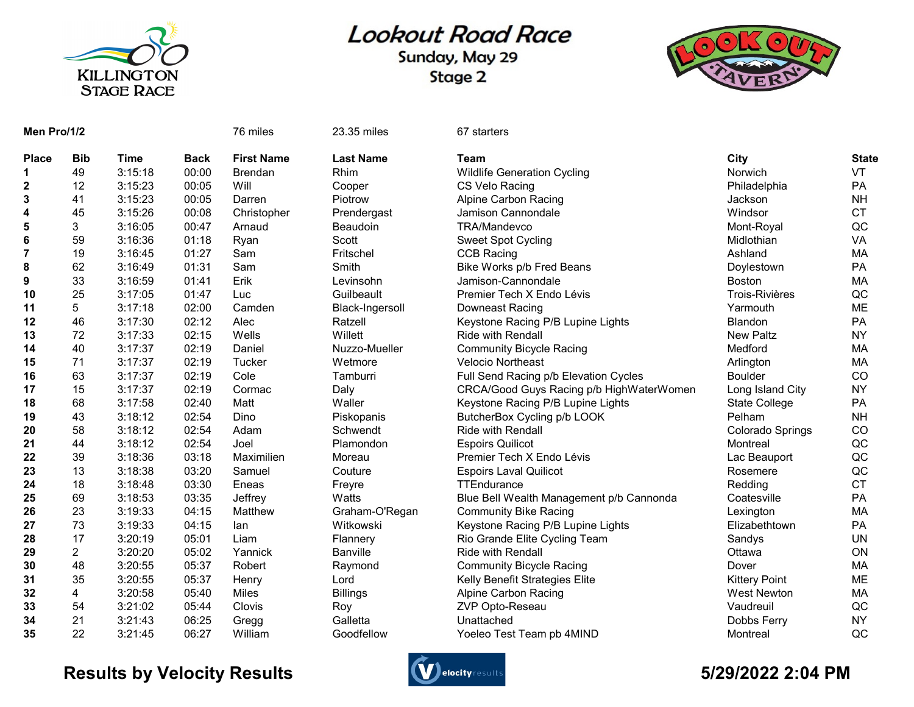

## **Lookout Road Race**

Sunday, May 29 Stage 2



| Men Pro/1/2    |                |             |             | 76 miles          | 23.35 miles      | 67 starters                              |                       |              |
|----------------|----------------|-------------|-------------|-------------------|------------------|------------------------------------------|-----------------------|--------------|
| <b>Place</b>   | <b>Bib</b>     | <b>Time</b> | <b>Back</b> | <b>First Name</b> | <b>Last Name</b> | Team                                     | City                  | <b>State</b> |
| 1              | 49             | 3:15:18     | 00:00       | <b>Brendan</b>    | Rhim             | <b>Wildlife Generation Cycling</b>       | Norwich               | VT           |
| $\mathbf{2}$   | 12             | 3:15:23     | 00:05       | Will              | Cooper           | CS Velo Racing                           | Philadelphia          | PA           |
| 3              | 41             | 3:15:23     | 00:05       | Darren            | Piotrow          | <b>Alpine Carbon Racing</b>              | Jackson               | <b>NH</b>    |
| 4              | 45             | 3:15:26     | 00:08       | Christopher       | Prendergast      | Jamison Cannondale                       | Windsor               | <b>CT</b>    |
| 5              | 3              | 3:16:05     | 00:47       | Arnaud            | Beaudoin         | TRA/Mandevco                             | Mont-Royal            | QC           |
| $\bf 6$        | 59             | 3:16:36     | 01:18       | Ryan              | Scott            | <b>Sweet Spot Cycling</b>                | Midlothian            | VA           |
| $\overline{7}$ | 19             | 3:16:45     | 01:27       | Sam               | Fritschel        | <b>CCB Racing</b>                        | Ashland               | MA           |
| 8              | 62             | 3:16:49     | 01:31       | Sam               | Smith            | Bike Works p/b Fred Beans                | Doylestown            | PA           |
| 9              | 33             | 3:16:59     | 01:41       | Erik              | Levinsohn        | Jamison-Cannondale                       | <b>Boston</b>         | MA           |
| 10             | 25             | 3:17:05     | 01:47       | Luc               | Guilbeault       | Premier Tech X Endo Lévis                | <b>Trois-Rivières</b> | QC           |
| 11             | 5              | 3:17:18     | 02:00       | Camden            | Black-Ingersoll  | Downeast Racing                          | Yarmouth              | <b>ME</b>    |
| 12             | 46             | 3:17:30     | 02:12       | Alec              | Ratzell          | Keystone Racing P/B Lupine Lights        | Blandon               | PA           |
| 13             | 72             | 3:17:33     | 02:15       | Wells             | Willett          | <b>Ride with Rendall</b>                 | <b>New Paltz</b>      | <b>NY</b>    |
| 14             | 40             | 3:17:37     | 02:19       | Daniel            | Nuzzo-Mueller    | <b>Community Bicycle Racing</b>          | Medford               | MA           |
| 15             | 71             | 3:17:37     | 02:19       | Tucker            | Wetmore          | <b>Velocio Northeast</b>                 | Arlington             | MA           |
| 16             | 63             | 3:17:37     | 02:19       | Cole              | Tamburri         | Full Send Racing p/b Elevation Cycles    | <b>Boulder</b>        | CO           |
| 17             | 15             | 3:17:37     | 02:19       | Cormac            | Daly             | CRCA/Good Guys Racing p/b HighWaterWomen | Long Island City      | <b>NY</b>    |
| 18             | 68             | 3:17:58     | 02:40       | Matt              | Waller           | Keystone Racing P/B Lupine Lights        | <b>State College</b>  | PA           |
| 19             | 43             | 3:18:12     | 02:54       | Dino              | Piskopanis       | ButcherBox Cycling p/b LOOK              | Pelham                | <b>NH</b>    |
| 20             | 58             | 3:18:12     | 02:54       | Adam              | Schwendt         | <b>Ride with Rendall</b>                 | Colorado Springs      | CO           |
| 21             | 44             | 3:18:12     | 02:54       | Joel              | Plamondon        | <b>Espoirs Quilicot</b>                  | Montreal              | QC           |
| 22             | 39             | 3:18:36     | 03:18       | Maximilien        | Moreau           | Premier Tech X Endo Lévis                | Lac Beauport          | QC           |
| 23             | 13             | 3:18:38     | 03:20       | Samuel            | Couture          | <b>Espoirs Laval Quilicot</b>            | Rosemere              | QC           |
| 24             | 18             | 3:18:48     | 03:30       | Eneas             | Freyre           | TTEndurance                              | Redding               | <b>CT</b>    |
| 25             | 69             | 3:18:53     | 03:35       | Jeffrey           | Watts            | Blue Bell Wealth Management p/b Cannonda | Coatesville           | PA           |
| 26             | 23             | 3:19:33     | 04:15       | Matthew           | Graham-O'Regan   | <b>Community Bike Racing</b>             | Lexington             | MA           |
| 27             | 73             | 3:19:33     | 04:15       | lan               | Witkowski        | Keystone Racing P/B Lupine Lights        | Elizabethtown         | PA           |
| 28             | 17             | 3:20:19     | 05:01       | Liam              | Flannery         | Rio Grande Elite Cycling Team            | Sandys                | <b>UN</b>    |
| 29             | $\overline{c}$ | 3:20:20     | 05:02       | Yannick           | Banville         | <b>Ride with Rendall</b>                 | Ottawa                | ON           |
| 30             | 48             | 3:20:55     | 05:37       | Robert            | Raymond          | <b>Community Bicycle Racing</b>          | Dover                 | MA           |
| 31             | 35             | 3:20:55     | 05:37       | Henry             | Lord             | Kelly Benefit Strategies Elite           | <b>Kittery Point</b>  | ME           |
| 32             | 4              | 3:20:58     | 05:40       | Miles             | <b>Billings</b>  | Alpine Carbon Racing                     | <b>West Newton</b>    | MA           |
| 33             | 54             | 3:21:02     | 05:44       | Clovis            | Roy              | ZVP Opto-Reseau                          | Vaudreuil             | QC           |
| 34             | 21             | 3:21:43     | 06:25       | Gregg             | Galletta         | Unattached                               | Dobbs Ferry           | <b>NY</b>    |
| 35             | 22             | 3:21:45     | 06:27       | William           | Goodfellow       | Yoeleo Test Team pb 4MIND                | Montreal              | QC           |

## Results by Velocity Results **Controllers** and the second state of the State of the State of the State of the State of the State of the State of the State of the State of the State of the State of the State of the State of